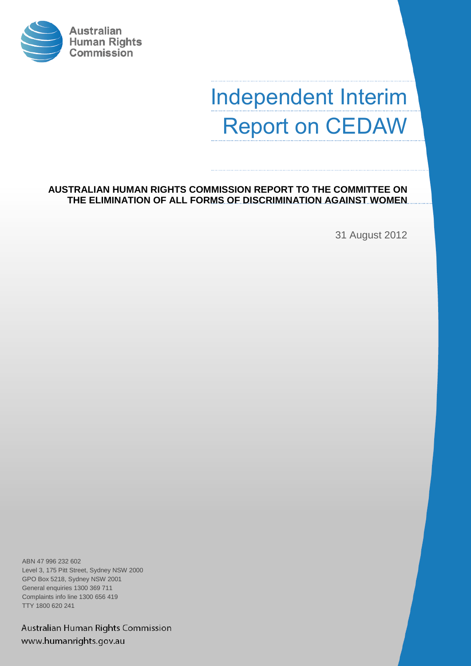

# Independent Interim Report on CEDAW

**AUSTRALIAN HUMAN RIGHTS COMMISSION REPORT TO THE COMMITTEE ON THE ELIMINATION OF ALL FORMS OF DISCRIMINATION AGAINST WOMEN**

31 August 2012

ABN 47 996 232 602 Level 3, 175 Pitt Street, Sydney NSW 2000 GPO Box 5218, Sydney NSW 2001 General enquiries 1300 369 711 Complaints info line 1300 656 419 TTY 1800 620 241

Australian Human Rights Commission www.humanrights.gov.au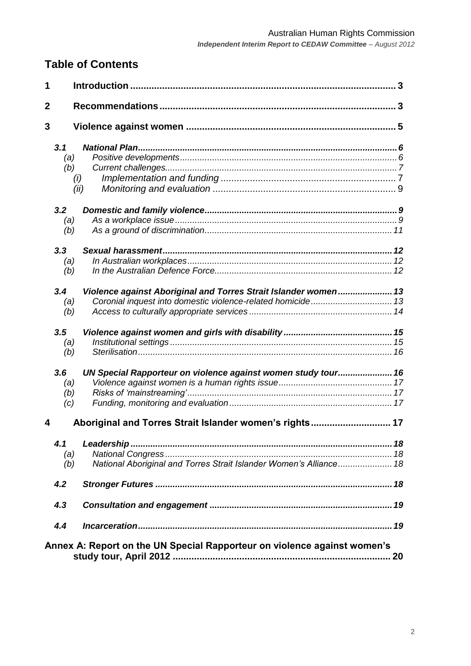# **Table of Contents**

| 1            |                                                         |                                                                          |    |
|--------------|---------------------------------------------------------|--------------------------------------------------------------------------|----|
| $\mathbf{2}$ |                                                         |                                                                          |    |
| 3            |                                                         |                                                                          |    |
|              | 3.1                                                     |                                                                          |    |
|              | (a)                                                     |                                                                          |    |
|              | (b)                                                     |                                                                          |    |
|              | (i)                                                     |                                                                          |    |
|              | (ii)                                                    |                                                                          |    |
|              | 3.2                                                     |                                                                          |    |
|              | (a)                                                     |                                                                          |    |
|              | (b)                                                     |                                                                          |    |
|              | 3.3                                                     |                                                                          |    |
|              | (a)                                                     |                                                                          |    |
|              | (b)                                                     |                                                                          |    |
|              | 3.4                                                     | Violence against Aboriginal and Torres Strait Islander women 13          |    |
|              | (a)                                                     |                                                                          |    |
|              | (b)                                                     |                                                                          |    |
|              | 3.5                                                     |                                                                          |    |
|              | (a)                                                     |                                                                          |    |
|              | (b)                                                     |                                                                          |    |
|              | 3.6                                                     | UN Special Rapporteur on violence against women study tour 16            |    |
|              | (a)                                                     |                                                                          |    |
|              | (b)                                                     |                                                                          |    |
|              | (c)                                                     |                                                                          |    |
| 4            | Aboriginal and Torres Strait Islander women's rights 17 |                                                                          |    |
|              | 4.1                                                     |                                                                          |    |
|              | (a)                                                     |                                                                          |    |
|              | (b)                                                     | National Aboriginal and Torres Strait Islander Women's Alliance 18       |    |
|              | 4.2                                                     |                                                                          |    |
|              | 4.3                                                     |                                                                          |    |
|              | 4.4                                                     |                                                                          |    |
|              |                                                         | Annex A: Report on the UN Special Rapporteur on violence against women's | 20 |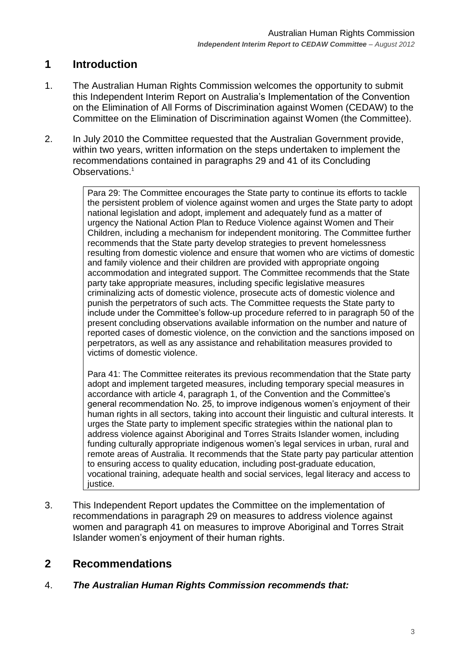# <span id="page-2-0"></span>**1 Introduction**

- 1. The Australian Human Rights Commission welcomes the opportunity to submit this Independent Interim Report on Australia"s Implementation of the Convention on the Elimination of All Forms of Discrimination against Women (CEDAW) to the Committee on the Elimination of Discrimination against Women (the Committee).
- 2. In July 2010 the Committee requested that the Australian Government provide, within two years, written information on the steps undertaken to implement the recommendations contained in paragraphs 29 and 41 of its Concluding Observations.<sup>1</sup>

Para 29: The Committee encourages the State party to continue its efforts to tackle the persistent problem of violence against women and urges the State party to adopt national legislation and adopt, implement and adequately fund as a matter of urgency the National Action Plan to Reduce Violence against Women and Their Children, including a mechanism for independent monitoring. The Committee further recommends that the State party develop strategies to prevent homelessness resulting from domestic violence and ensure that women who are victims of domestic and family violence and their children are provided with appropriate ongoing accommodation and integrated support. The Committee recommends that the State party take appropriate measures, including specific legislative measures criminalizing acts of domestic violence, prosecute acts of domestic violence and punish the perpetrators of such acts. The Committee requests the State party to include under the Committee"s follow-up procedure referred to in paragraph 50 of the present concluding observations available information on the number and nature of reported cases of domestic violence, on the conviction and the sanctions imposed on perpetrators, as well as any assistance and rehabilitation measures provided to victims of domestic violence.

Para 41: The Committee reiterates its previous recommendation that the State party adopt and implement targeted measures, including temporary special measures in accordance with article 4, paragraph 1, of the Convention and the Committee"s general recommendation No. 25, to improve indigenous women"s enjoyment of their human rights in all sectors, taking into account their linguistic and cultural interests. It urges the State party to implement specific strategies within the national plan to address violence against Aboriginal and Torres Straits Islander women, including funding culturally appropriate indigenous women"s legal services in urban, rural and remote areas of Australia. It recommends that the State party pay particular attention to ensuring access to quality education, including post-graduate education, vocational training, adequate health and social services, legal literacy and access to justice.

3. This Independent Report updates the Committee on the implementation of recommendations in paragraph 29 on measures to address violence against women and paragraph 41 on measures to improve Aboriginal and Torres Strait Islander women"s enjoyment of their human rights.

## <span id="page-2-1"></span>**2 Recommendations**

4. *The Australian Human Rights Commission recommends that:*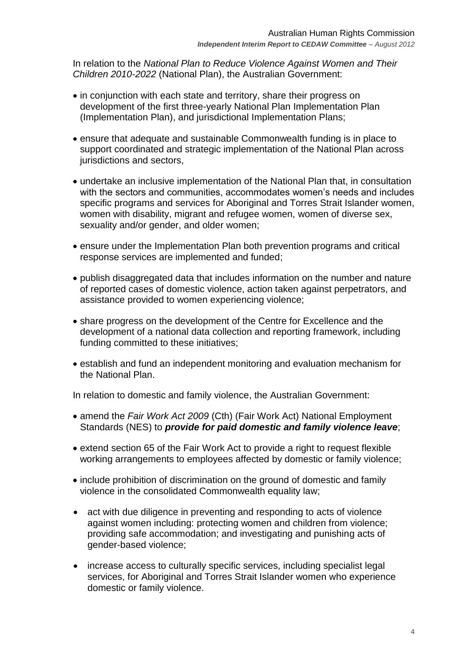In relation to the *National Plan to Reduce Violence Against Women and Their Children 2010-2022* (National Plan), the Australian Government:

- in conjunction with each state and territory, share their progress on development of the first three-yearly National Plan Implementation Plan (Implementation Plan), and jurisdictional Implementation Plans;
- ensure that adequate and sustainable Commonwealth funding is in place to support coordinated and strategic implementation of the National Plan across jurisdictions and sectors,
- undertake an inclusive implementation of the National Plan that, in consultation with the sectors and communities, accommodates women's needs and includes specific programs and services for Aboriginal and Torres Strait Islander women, women with disability, migrant and refugee women, women of diverse sex, sexuality and/or gender, and older women;
- ensure under the Implementation Plan both prevention programs and critical response services are implemented and funded;
- publish disaggregated data that includes information on the number and nature of reported cases of domestic violence, action taken against perpetrators, and assistance provided to women experiencing violence;
- share progress on the development of the Centre for Excellence and the development of a national data collection and reporting framework, including funding committed to these initiatives;
- establish and fund an independent monitoring and evaluation mechanism for the National Plan.

In relation to domestic and family violence, the Australian Government:

- amend the *Fair Work Act 2009* (Cth) (Fair Work Act) National Employment Standards (NES) to *provide for paid domestic and family violence leave*;
- extend section 65 of the Fair Work Act to provide a right to request flexible working arrangements to employees affected by domestic or family violence;
- include prohibition of discrimination on the ground of domestic and family violence in the consolidated Commonwealth equality law;
- act with due diligence in preventing and responding to acts of violence against women including: protecting women and children from violence; providing safe accommodation; and investigating and punishing acts of gender-based violence;
- increase access to culturally specific services, including specialist legal services, for Aboriginal and Torres Strait Islander women who experience domestic or family violence.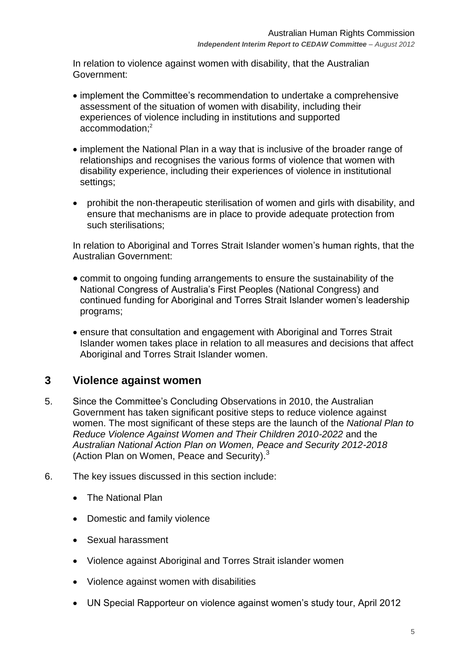In relation to violence against women with disability, that the Australian Government:

- implement the Committee"s recommendation to undertake a comprehensive assessment of the situation of women with disability, including their experiences of violence including in institutions and supported accommodation; 2
- implement the National Plan in a way that is inclusive of the broader range of relationships and recognises the various forms of violence that women with disability experience, including their experiences of violence in institutional settings;
- prohibit the non-therapeutic sterilisation of women and girls with disability, and ensure that mechanisms are in place to provide adequate protection from such sterilisations;

In relation to Aboriginal and Torres Strait Islander women's human rights, that the Australian Government:

- commit to ongoing funding arrangements to ensure the sustainability of the National Congress of Australia"s First Peoples (National Congress) and continued funding for Aboriginal and Torres Strait Islander women"s leadership programs;
- ensure that consultation and engagement with Aboriginal and Torres Strait Islander women takes place in relation to all measures and decisions that affect Aboriginal and Torres Strait Islander women.

## <span id="page-4-0"></span>**3 Violence against women**

- 5. Since the Committee"s Concluding Observations in 2010, the Australian Government has taken significant positive steps to reduce violence against women. The most significant of these steps are the launch of the *National Plan to Reduce Violence Against Women and Their Children 2010-2022* and the *Australian National Action Plan on Women, Peace and Security 2012-2018* (Action Plan on Women, Peace and Security).<sup>3</sup>
- 6. The key issues discussed in this section include:
	- The National Plan
	- Domestic and family violence
	- Sexual harassment
	- Violence against Aboriginal and Torres Strait islander women
	- Violence against women with disabilities
	- UN Special Rapporteur on violence against women"s study tour, April 2012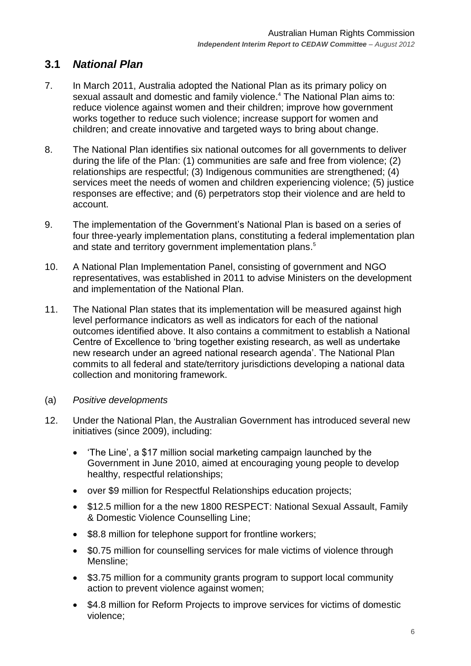## <span id="page-5-0"></span>**3.1** *National Plan*

- 7. In March 2011, Australia adopted the National Plan as its primary policy on sexual assault and domestic and family violence.<sup>4</sup> The National Plan aims to: reduce violence against women and their children; improve how government works together to reduce such violence; increase support for women and children; and create innovative and targeted ways to bring about change.
- 8. The National Plan identifies six national outcomes for all governments to deliver during the life of the Plan: (1) communities are safe and free from violence; (2) relationships are respectful; (3) Indigenous communities are strengthened; (4) services meet the needs of women and children experiencing violence; (5) justice responses are effective; and (6) perpetrators stop their violence and are held to account.
- 9. The implementation of the Government"s National Plan is based on a series of four three-yearly implementation plans, constituting a federal implementation plan and state and territory government implementation plans.<sup>5</sup>
- 10. A National Plan Implementation Panel, consisting of government and NGO representatives, was established in 2011 to advise Ministers on the development and implementation of the National Plan.
- 11. The National Plan states that its implementation will be measured against high level performance indicators as well as indicators for each of the national outcomes identified above. It also contains a commitment to establish a National Centre of Excellence to "bring together existing research, as well as undertake new research under an agreed national research agenda". The National Plan commits to all federal and state/territory jurisdictions developing a national data collection and monitoring framework.
- <span id="page-5-1"></span>(a) *Positive developments*
- 12. Under the National Plan, the Australian Government has introduced several new initiatives (since 2009), including:
	- 'The Line', a \$17 million social marketing campaign launched by the Government in June 2010, aimed at encouraging young people to develop healthy, respectful relationships;
	- over \$9 million for Respectful Relationships education projects;
	- \$12.5 million for a the new 1800 RESPECT: National Sexual Assault, Family & Domestic Violence Counselling Line;
	- \$8.8 million for telephone support for frontline workers;
	- \$0.75 million for counselling services for male victims of violence through Mensline;
	- \$3.75 million for a community grants program to support local community action to prevent violence against women;
	- \$4.8 million for Reform Projects to improve services for victims of domestic violence;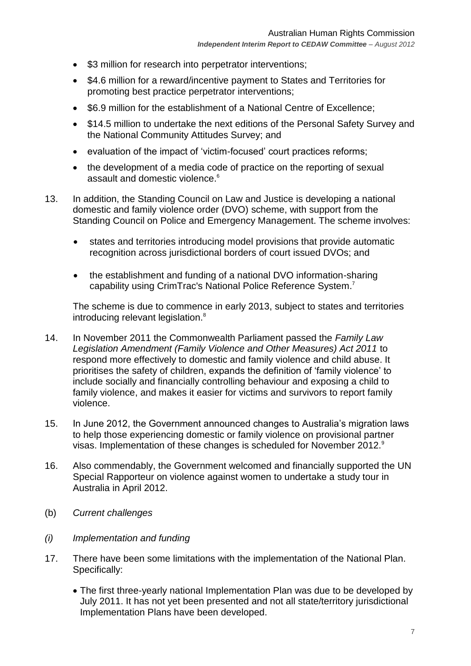- \$3 million for research into perpetrator interventions;
- \$4.6 million for a reward/incentive payment to States and Territories for promoting best practice perpetrator interventions;
- \$6.9 million for the establishment of a National Centre of Excellence;
- \$14.5 million to undertake the next editions of the Personal Safety Survey and the National Community Attitudes Survey; and
- evaluation of the impact of "victim-focused" court practices reforms;
- the development of a media code of practice on the reporting of sexual assault and domestic violence.<sup>6</sup>
- 13. In addition, the Standing Council on Law and Justice is developing a national domestic and family violence order (DVO) scheme, with support from the Standing Council on Police and Emergency Management. The scheme involves:
	- states and territories introducing model provisions that provide automatic recognition across jurisdictional borders of court issued DVOs; and
	- the establishment and funding of a national DVO information-sharing capability using CrimTrac's National Police Reference System.<sup>7</sup>

The scheme is due to commence in early 2013, subject to states and territories introducing relevant legislation.<sup>8</sup>

- 14. In November 2011 the Commonwealth Parliament passed the *Family Law Legislation Amendment (Family Violence and Other Measures) Act 2011* to respond more effectively to domestic and family violence and child abuse. It prioritises the safety of children, expands the definition of "family violence" to include socially and financially controlling behaviour and exposing a child to family violence, and makes it easier for victims and survivors to report family violence.
- 15. In June 2012, the Government announced changes to Australia"s migration laws to help those experiencing domestic or family violence on provisional partner visas. Implementation of these changes is scheduled for November 2012.<sup>9</sup>
- 16. Also commendably, the Government welcomed and financially supported the UN Special Rapporteur on violence against women to undertake a study tour in Australia in April 2012.
- <span id="page-6-0"></span>(b) *Current challenges*
- <span id="page-6-1"></span>*(i) Implementation and funding*
- 17. There have been some limitations with the implementation of the National Plan. Specifically:
	- The first three-yearly national Implementation Plan was due to be developed by July 2011. It has not yet been presented and not all state/territory jurisdictional Implementation Plans have been developed.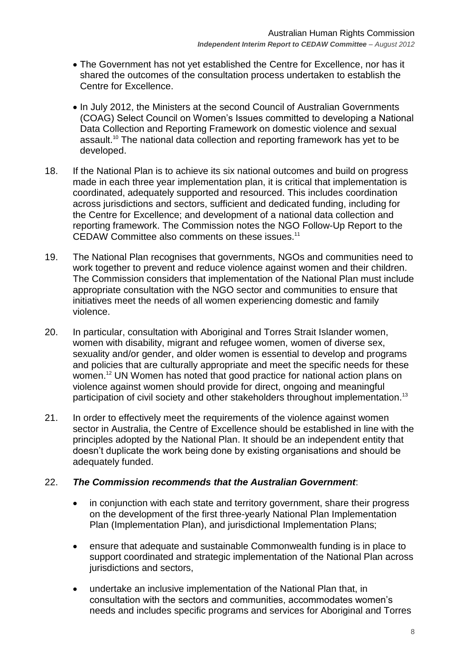- The Government has not yet established the Centre for Excellence, nor has it shared the outcomes of the consultation process undertaken to establish the Centre for Excellence.
- In July 2012, the Ministers at the second Council of Australian Governments (COAG) Select Council on Women"s Issues committed to developing a National Data Collection and Reporting Framework on domestic violence and sexual assault.<sup>10</sup> The national data collection and reporting framework has yet to be developed.
- 18. If the National Plan is to achieve its six national outcomes and build on progress made in each three year implementation plan, it is critical that implementation is coordinated, adequately supported and resourced. This includes coordination across jurisdictions and sectors, sufficient and dedicated funding, including for the Centre for Excellence; and development of a national data collection and reporting framework. The Commission notes the NGO Follow-Up Report to the CEDAW Committee also comments on these issues.<sup>11</sup>
- 19. The National Plan recognises that governments, NGOs and communities need to work together to prevent and reduce violence against women and their children. The Commission considers that implementation of the National Plan must include appropriate consultation with the NGO sector and communities to ensure that initiatives meet the needs of all women experiencing domestic and family violence.
- 20. In particular, consultation with Aboriginal and Torres Strait Islander women, women with disability, migrant and refugee women, women of diverse sex, sexuality and/or gender, and older women is essential to develop and programs and policies that are culturally appropriate and meet the specific needs for these women.<sup>12</sup> UN Women has noted that good practice for national action plans on violence against women should provide for direct, ongoing and meaningful participation of civil society and other stakeholders throughout implementation.<sup>13</sup>
- 21. In order to effectively meet the requirements of the violence against women sector in Australia, the Centre of Excellence should be established in line with the principles adopted by the National Plan. It should be an independent entity that doesn"t duplicate the work being done by existing organisations and should be adequately funded.

#### 22. *The Commission recommends that the Australian Government*:

- in conjunction with each state and territory government, share their progress on the development of the first three-yearly National Plan Implementation Plan (Implementation Plan), and jurisdictional Implementation Plans;
- ensure that adequate and sustainable Commonwealth funding is in place to support coordinated and strategic implementation of the National Plan across jurisdictions and sectors,
- undertake an inclusive implementation of the National Plan that, in consultation with the sectors and communities, accommodates women"s needs and includes specific programs and services for Aboriginal and Torres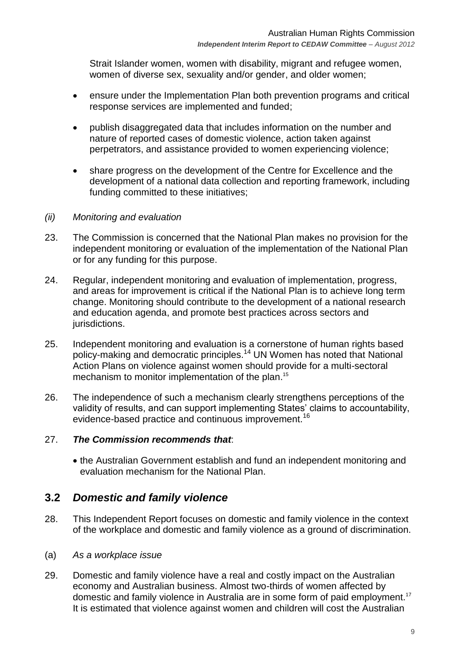Strait Islander women, women with disability, migrant and refugee women, women of diverse sex, sexuality and/or gender, and older women;

- ensure under the Implementation Plan both prevention programs and critical response services are implemented and funded;
- publish disaggregated data that includes information on the number and nature of reported cases of domestic violence, action taken against perpetrators, and assistance provided to women experiencing violence;
- share progress on the development of the Centre for Excellence and the development of a national data collection and reporting framework, including funding committed to these initiatives;

#### <span id="page-8-0"></span>*(ii) Monitoring and evaluation*

- 23. The Commission is concerned that the National Plan makes no provision for the independent monitoring or evaluation of the implementation of the National Plan or for any funding for this purpose.
- 24. Regular, independent monitoring and evaluation of implementation, progress, and areas for improvement is critical if the National Plan is to achieve long term change. Monitoring should contribute to the development of a national research and education agenda, and promote best practices across sectors and jurisdictions.
- 25. Independent monitoring and evaluation is a cornerstone of human rights based policy-making and democratic principles.<sup>14</sup> UN Women has noted that National Action Plans on violence against women should provide for a multi-sectoral mechanism to monitor implementation of the plan.<sup>15</sup>
- 26. The independence of such a mechanism clearly strengthens perceptions of the validity of results, and can support implementing States" claims to accountability, evidence-based practice and continuous improvement.<sup>16</sup>

#### 27. *The Commission recommends that*:

 the Australian Government establish and fund an independent monitoring and evaluation mechanism for the National Plan.

### <span id="page-8-1"></span>**3.2** *Domestic and family violence*

- 28. This Independent Report focuses on domestic and family violence in the context of the workplace and domestic and family violence as a ground of discrimination.
- <span id="page-8-2"></span>(a) *As a workplace issue*
- 29. Domestic and family violence have a real and costly impact on the Australian economy and Australian business. Almost two-thirds of women affected by domestic and family violence in Australia are in some form of paid employment.<sup>17</sup> It is estimated that violence against women and children will cost the Australian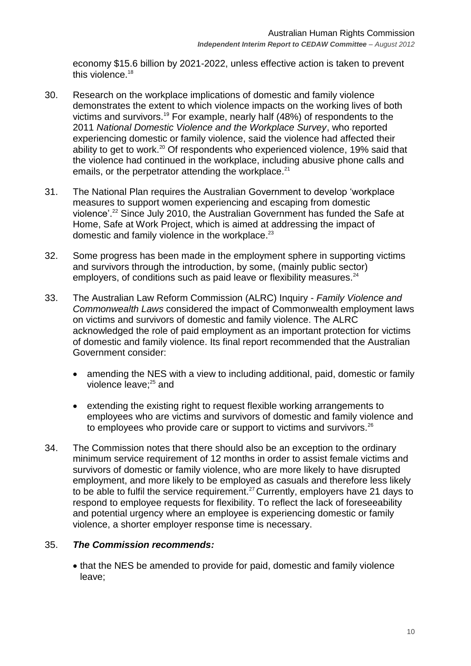economy \$15.6 billion by 2021-2022, unless effective action is taken to prevent this violence.<sup>18</sup>

- 30. Research on the workplace implications of domestic and family violence demonstrates the extent to which violence impacts on the working lives of both victims and survivors.<sup>19</sup> For example, nearly half (48%) of respondents to the 2011 *National Domestic Violence and the Workplace Survey*, who reported experiencing domestic or family violence, said the violence had affected their ability to get to work.<sup>20</sup> Of respondents who experienced violence, 19% said that the violence had continued in the workplace, including abusive phone calls and emails, or the perpetrator attending the workplace. $21$
- 31. The National Plan requires the Australian Government to develop "workplace measures to support women experiencing and escaping from domestic violence".<sup>22</sup> Since July 2010, the Australian Government has funded the Safe at Home, Safe at Work Project, which is aimed at addressing the impact of domestic and family violence in the workplace.<sup>23</sup>
- 32. Some progress has been made in the employment sphere in supporting victims and survivors through the introduction, by some, (mainly public sector) employers, of conditions such as paid leave or flexibility measures.<sup>24</sup>
- 33. The Australian Law Reform Commission (ALRC) Inquiry *Family Violence and Commonwealth Laws* considered the impact of Commonwealth employment laws on victims and survivors of domestic and family violence. The ALRC acknowledged the role of paid employment as an important protection for victims of domestic and family violence. Its final report recommended that the Australian Government consider:
	- amending the NES with a view to including additional, paid, domestic or family violence leave;<sup>25</sup> and
	- extending the existing right to request flexible working arrangements to employees who are victims and survivors of domestic and family violence and to employees who provide care or support to victims and survivors.<sup>26</sup>
- 34. The Commission notes that there should also be an exception to the ordinary minimum service requirement of 12 months in order to assist female victims and survivors of domestic or family violence, who are more likely to have disrupted employment, and more likely to be employed as casuals and therefore less likely to be able to fulfil the service requirement.<sup>27</sup> Currently, employers have 21 days to respond to employee requests for flexibility. To reflect the lack of foreseeability and potential urgency where an employee is experiencing domestic or family violence, a shorter employer response time is necessary.

#### 35. *The Commission recommends:*

 that the NES be amended to provide for paid, domestic and family violence leave;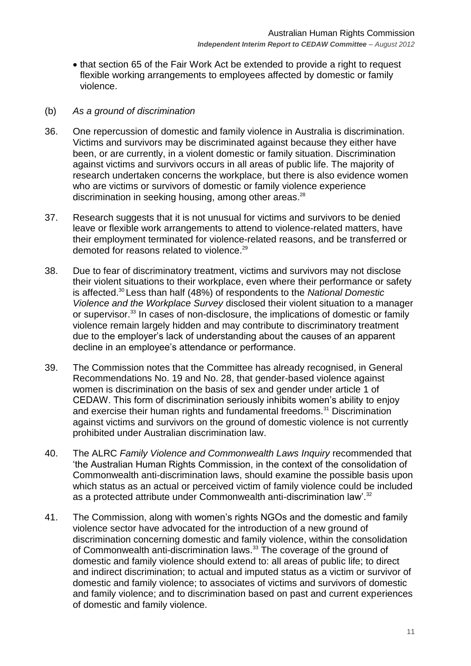• that section 65 of the Fair Work Act be extended to provide a right to request flexible working arrangements to employees affected by domestic or family violence.

#### <span id="page-10-0"></span>(b) *As a ground of discrimination*

- 36. One repercussion of domestic and family violence in Australia is discrimination. Victims and survivors may be discriminated against because they either have been, or are currently, in a violent domestic or family situation. Discrimination against victims and survivors occurs in all areas of public life. The majority of research undertaken concerns the workplace, but there is also evidence women who are victims or survivors of domestic or family violence experience discrimination in seeking housing, among other areas. 28
- 37. Research suggests that it is not unusual for victims and survivors to be denied leave or flexible work arrangements to attend to violence-related matters, have their employment terminated for violence-related reasons, and be transferred or demoted for reasons related to violence.<sup>29</sup>
- 38. Due to fear of discriminatory treatment, victims and survivors may not disclose their violent situations to their workplace, even where their performance or safety is affected. <sup>30</sup> Less than half (48%) of respondents to the *National Domestic Violence and the Workplace Survey* disclosed their violent situation to a manager or supervisor.<sup>[33](http://www.humanrights.gov.au/legal/submissions/2012/20120123_consolidation.html#fn33)</sup> In cases of non-disclosure, the implications of domestic or family violence remain largely hidden and may contribute to discriminatory treatment due to the employer"s lack of understanding about the causes of an apparent decline in an employee"s attendance or performance.
- 39. The Commission notes that the Committee has already recognised, in General Recommendations No. 19 and No. 28, that gender-based violence against women is discrimination on the basis of sex and gender under article 1 of CEDAW. This form of discrimination seriously inhibits women"s ability to enjoy and exercise their human rights and fundamental freedoms.<sup>31</sup> Discrimination against victims and survivors on the ground of domestic violence is not currently prohibited under Australian discrimination law.
- 40. The ALRC *Family Violence and Commonwealth Laws Inquiry* recommended that "the Australian Human Rights Commission, in the context of the consolidation of Commonwealth anti-discrimination laws, should examine the possible basis upon which status as an actual or perceived victim of family violence could be included as a protected attribute under Commonwealth anti-discrimination law'.<sup>32</sup>
- 41. The Commission, along with women"s rights NGOs and the domestic and family violence sector have advocated for the introduction of a new ground of discrimination concerning domestic and family violence, within the consolidation of Commonwealth anti-discrimination laws.<sup>33</sup> The coverage of the ground of domestic and family violence should extend to: all areas of public life; to direct and indirect discrimination; to actual and imputed status as a victim or survivor of domestic and family violence; to associates of victims and survivors of domestic and family violence; and to discrimination based on past and current experiences of domestic and family violence.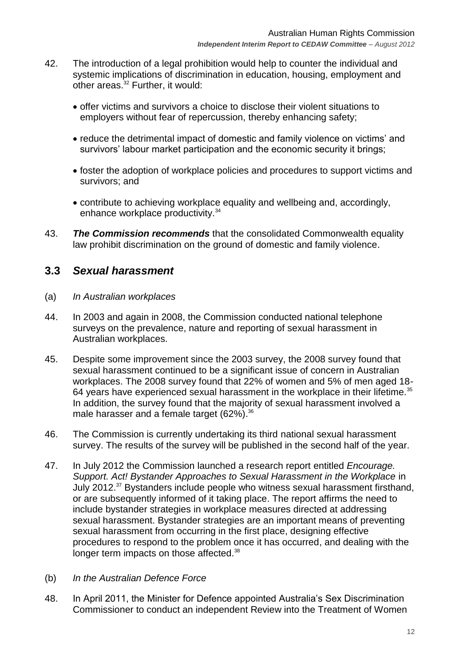- 42. The introduction of a legal prohibition would help to counter the individual and systemic implications of discrimination in education, housing, employment and other areas.<sup>[32](http://www.humanrights.gov.au/legal/submissions/2012/20120123_consolidation.html#fn32)</sup> Further, it would:
	- offer victims and survivors a choice to disclose their violent situations to employers without fear of repercussion, thereby enhancing safety;
	- reduce the detrimental impact of domestic and family violence on victims' and survivors' labour market participation and the economic security it brings;
	- foster the adoption of workplace policies and procedures to support victims and survivors; and
	- contribute to achieving workplace equality and wellbeing and, accordingly, enhance workplace productivity.<sup>34</sup>
- 43. *The Commission recommends* that the consolidated Commonwealth equality law prohibit discrimination on the ground of domestic and family violence.

## <span id="page-11-0"></span>**3.3** *Sexual harassment*

- <span id="page-11-1"></span>(a) *In Australian workplaces*
- 44. In 2003 and again in 2008, the Commission conducted national telephone surveys on the prevalence, nature and reporting of sexual harassment in Australian workplaces.
- 45. Despite some improvement since the 2003 survey, the 2008 survey found that sexual harassment continued to be a significant issue of concern in Australian workplaces. The 2008 survey found that 22% of women and 5% of men aged 18- 64 years have experienced sexual harassment in the workplace in their lifetime.<sup>35</sup> In addition, the survey found that the majority of sexual harassment involved a male harasser and a female target (62%).<sup>36</sup>
- 46. The Commission is currently undertaking its third national sexual harassment survey. The results of the survey will be published in the second half of the year.
- 47. In July 2012 the Commission launched a research report entitled *Encourage. Support. Act! Bystander Approaches to Sexual Harassment in the Workplace* in July 2012.<sup>37</sup> Bystanders include people who witness sexual harassment firsthand, or are subsequently informed of it taking place. The report affirms the need to include bystander strategies in workplace measures directed at addressing sexual harassment. Bystander strategies are an important means of preventing sexual harassment from occurring in the first place, designing effective procedures to respond to the problem once it has occurred, and dealing with the longer term impacts on those affected.<sup>38</sup>
- <span id="page-11-2"></span>(b) *In the Australian Defence Force*
- 48. In April 2011, the Minister for Defence appointed Australia"s Sex Discrimination Commissioner to conduct an independent Review into the Treatment of Women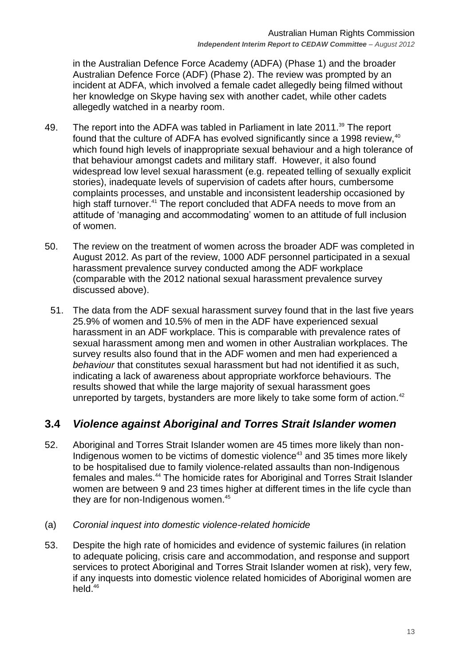in the Australian Defence Force Academy (ADFA) (Phase 1) and the broader Australian Defence Force (ADF) (Phase 2). The review was prompted by an incident at ADFA, which involved a female cadet allegedly being filmed without her knowledge on Skype having sex with another cadet, while other cadets allegedly watched in a nearby room.

- 49. The report into the ADFA was tabled in Parliament in late 2011.<sup>39</sup> The report found that the culture of ADFA has evolved significantly since a 1998 review, 40 which found high levels of inappropriate sexual behaviour and a high tolerance of that behaviour amongst cadets and military staff. However, it also found widespread low level sexual harassment (e.g. repeated telling of sexually explicit stories), inadequate levels of supervision of cadets after hours, cumbersome complaints processes, and unstable and inconsistent leadership occasioned by high staff turnover.<sup>41</sup> The report concluded that ADFA needs to move from an attitude of "managing and accommodating" women to an attitude of full inclusion of women.
- 50. The review on the treatment of women across the broader ADF was completed in August 2012. As part of the review, 1000 ADF personnel participated in a sexual harassment prevalence survey conducted among the ADF workplace (comparable with the 2012 national sexual harassment prevalence survey discussed above).
	- 51. The data from the ADF sexual harassment survey found that in the last five years 25.9% of women and 10.5% of men in the ADF have experienced sexual harassment in an ADF workplace. This is comparable with prevalence rates of sexual harassment among men and women in other Australian workplaces. The survey results also found that in the ADF women and men had experienced a *behaviour* that constitutes sexual harassment but had not identified it as such, indicating a lack of awareness about appropriate workforce behaviours. The results showed that while the large majority of sexual harassment goes unreported by targets, bystanders are more likely to take some form of action.<sup>42</sup>

# <span id="page-12-0"></span>**3.4** *Violence against Aboriginal and Torres Strait Islander women*

- 52. Aboriginal and Torres Strait Islander women are 45 times more likely than non-Indigenous women to be victims of domestic violence<sup>43</sup> and 35 times more likely to be hospitalised due to family violence-related assaults than non-Indigenous females and males.<sup>44</sup> The homicide rates for Aboriginal and Torres Strait Islander women are between 9 and 23 times higher at different times in the life cycle than they are for non-Indigenous women.<sup>45</sup>
- <span id="page-12-1"></span>(a) *Coronial inquest into domestic violence-related homicide*
- 53. Despite the high rate of homicides and evidence of systemic failures (in relation to adequate policing, crisis care and accommodation, and response and support services to protect Aboriginal and Torres Strait Islander women at risk), very few, if any inquests into domestic violence related homicides of Aboriginal women are held.46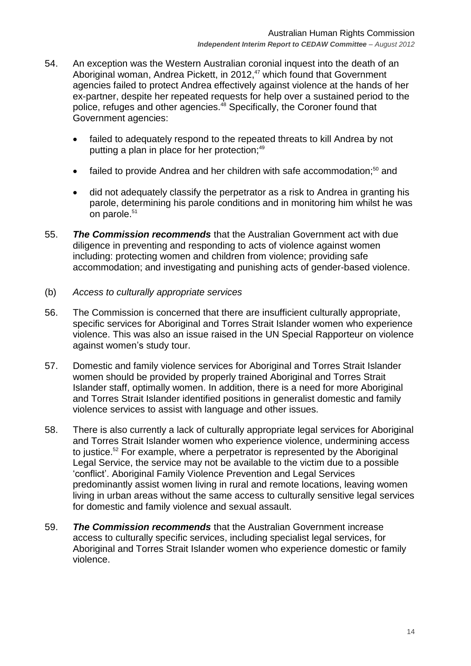- 54. An exception was the Western Australian coronial inquest into the death of an Aboriginal woman, Andrea Pickett, in 2012, <sup>47</sup> which found that Government agencies failed to protect Andrea effectively against violence at the hands of her ex-partner, despite her repeated requests for help over a sustained period to the police, refuges and other agencies.<sup>48</sup> Specifically, the Coroner found that Government agencies:
	- failed to adequately respond to the repeated threats to kill Andrea by not putting a plan in place for her protection;<sup>49</sup>
	- failed to provide Andrea and her children with safe accommodation:<sup>50</sup> and
	- did not adequately classify the perpetrator as a risk to Andrea in granting his parole, determining his parole conditions and in monitoring him whilst he was on parole. 51
- 55. *The Commission recommends* that the Australian Government act with due diligence in preventing and responding to acts of violence against women including: protecting women and children from violence; providing safe accommodation; and investigating and punishing acts of gender-based violence.
- <span id="page-13-0"></span>(b) *Access to culturally appropriate services*
- 56. The Commission is concerned that there are insufficient culturally appropriate, specific services for Aboriginal and Torres Strait Islander women who experience violence. This was also an issue raised in the UN Special Rapporteur on violence against women's study tour.
- 57. Domestic and family violence services for Aboriginal and Torres Strait Islander women should be provided by properly trained Aboriginal and Torres Strait Islander staff, optimally women. In addition, there is a need for more Aboriginal and Torres Strait Islander identified positions in generalist domestic and family violence services to assist with language and other issues.
- 58. There is also currently a lack of culturally appropriate legal services for Aboriginal and Torres Strait Islander women who experience violence, undermining access to justice.<sup>52</sup> For example, where a perpetrator is represented by the Aboriginal Legal Service, the service may not be available to the victim due to a possible "conflict". Aboriginal Family Violence Prevention and Legal Services predominantly assist women living in rural and remote locations, leaving women living in urban areas without the same access to culturally sensitive legal services for domestic and family violence and sexual assault.
- 59. *The Commission recommends* that the Australian Government increase access to culturally specific services, including specialist legal services, for Aboriginal and Torres Strait Islander women who experience domestic or family violence.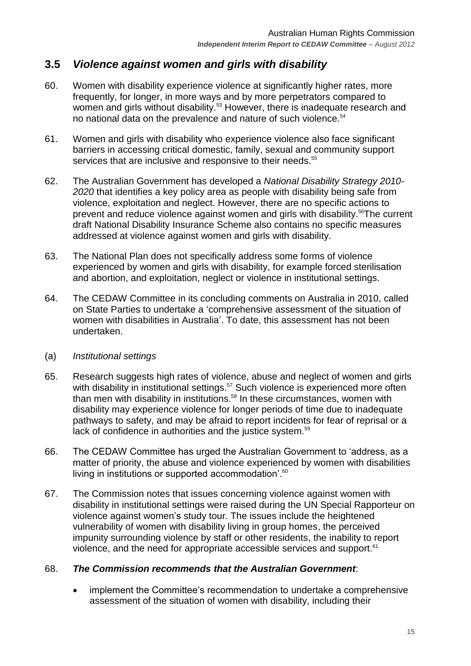# <span id="page-14-0"></span>**3.5** *Violence against women and girls with disability*

- 60. Women with disability experience violence at significantly higher rates, more frequently, for longer, in more ways and by more perpetrators compared to women and girls without disability.<sup>53</sup> However, there is inadequate research and no national data on the prevalence and nature of such violence.<sup>54</sup>
- 61. Women and girls with disability who experience violence also face significant barriers in accessing critical domestic, family, sexual and community support services that are inclusive and responsive to their needs.<sup>55</sup>
- 62. The Australian Government has developed a *National Disability Strategy 2010- 2020* that identifies a key policy area as people with disability being safe from violence, exploitation and neglect. However, there are no specific actions to prevent and reduce violence against women and girls with disability. <sup>56</sup>The current draft National Disability Insurance Scheme also contains no specific measures addressed at violence against women and girls with disability.
- 63. The National Plan does not specifically address some forms of violence experienced by women and girls with disability, for example forced sterilisation and abortion, and exploitation, neglect or violence in institutional settings.
- 64. The CEDAW Committee in its concluding comments on Australia in 2010, called on State Parties to undertake a "comprehensive assessment of the situation of women with disabilities in Australia". To date, this assessment has not been undertaken.

#### <span id="page-14-1"></span>(a) *Institutional settings*

- 65. Research suggests high rates of violence, abuse and neglect of women and girls with disability in institutional settings.<sup>57</sup> Such violence is experienced more often than men with disability in institutions.<sup>58</sup> In these circumstances, women with disability may experience violence for longer periods of time due to inadequate pathways to safety, and may be afraid to report incidents for fear of reprisal or a lack of confidence in authorities and the justice system.<sup>59</sup>
- 66. The CEDAW Committee has urged the Australian Government to "address, as a matter of priority, the abuse and violence experienced by women with disabilities living in institutions or supported accommodation'.<sup>60</sup>
- 67. The Commission notes that issues concerning violence against women with disability in institutional settings were raised during the UN Special Rapporteur on violence against women"s study tour. The issues include the heightened vulnerability of women with disability living in group homes, the perceived impunity surrounding violence by staff or other residents, the inability to report violence, and the need for appropriate accessible services and support.<sup>61</sup>

#### 68. *The Commission recommends that the Australian Government*:

 implement the Committee"s recommendation to undertake a comprehensive assessment of the situation of women with disability, including their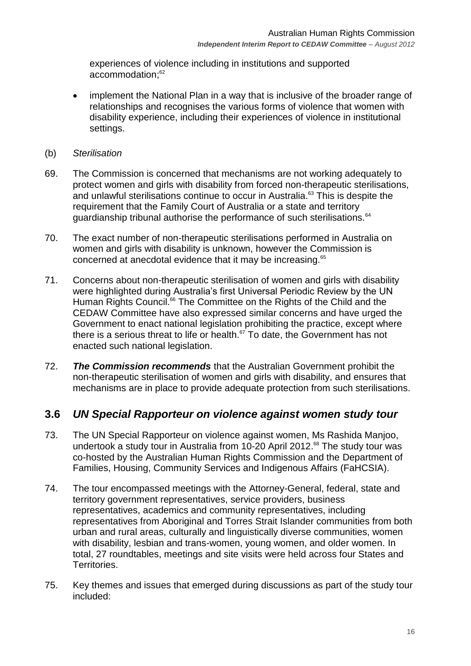experiences of violence including in institutions and supported accommodation; 62

- implement the National Plan in a way that is inclusive of the broader range of relationships and recognises the various forms of violence that women with disability experience, including their experiences of violence in institutional settings.
- <span id="page-15-0"></span>(b) *Sterilisation*
- 69. The Commission is concerned that mechanisms are not working adequately to protect women and girls with disability from forced non-therapeutic sterilisations, and unlawful sterilisations continue to occur in Australia.<sup>63</sup> This is despite the requirement that the Family Court of Australia or a state and territory guardianship tribunal authorise the performance of such sterilisations.<sup>64</sup>
- 70. The exact number of non-therapeutic sterilisations performed in Australia on women and girls with disability is unknown, however the Commission is concerned at anecdotal evidence that it may be increasing.<sup>65</sup>
- 71. Concerns about non-therapeutic sterilisation of women and girls with disability were highlighted during Australia's first Universal Periodic Review by the UN Human Rights Council.<sup>66</sup> The Committee on the Rights of the Child and the CEDAW Committee have also expressed similar concerns and have urged the Government to enact national legislation prohibiting the practice, except where there is a serious threat to life or health.<sup>67</sup> To date, the Government has not enacted such national legislation.
- 72. *The Commission recommends* that the Australian Government prohibit the non-therapeutic sterilisation of women and girls with disability, and ensures that mechanisms are in place to provide adequate protection from such sterilisations.

### <span id="page-15-1"></span>**3.6** *UN Special Rapporteur on violence against women study tour*

- 73. The UN Special Rapporteur on violence against women, Ms Rashida Manjoo, undertook a study tour in Australia from 10-20 April 2012. <sup>68</sup> The study tour was co-hosted by the Australian Human Rights Commission and the Department of Families, Housing, Community Services and Indigenous Affairs (FaHCSIA).
- 74. The tour encompassed meetings with the Attorney-General, federal, state and territory government representatives, service providers, business representatives, academics and community representatives, including representatives from Aboriginal and Torres Strait Islander communities from both urban and rural areas, culturally and linguistically diverse communities, women with disability, lesbian and trans-women, young women, and older women. In total, 27 roundtables, meetings and site visits were held across four States and Territories.
- 75. Key themes and issues that emerged during discussions as part of the study tour included: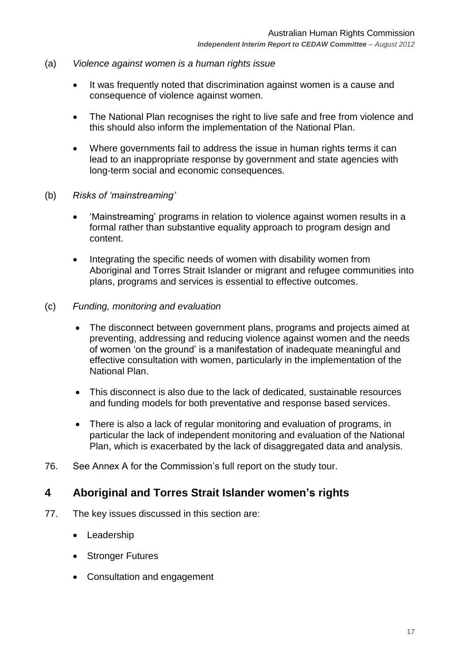- <span id="page-16-0"></span>(a) *Violence against women is a human rights issue* 
	- It was frequently noted that discrimination against women is a cause and consequence of violence against women.
	- The National Plan recognises the right to live safe and free from violence and this should also inform the implementation of the National Plan.
	- Where governments fail to address the issue in human rights terms it can lead to an inappropriate response by government and state agencies with long-term social and economic consequences.
- <span id="page-16-1"></span>(b) *Risks of 'mainstreaming'*
	- 'Mainstreaming' programs in relation to violence against women results in a formal rather than substantive equality approach to program design and content.
	- Integrating the specific needs of women with disability women from Aboriginal and Torres Strait Islander or migrant and refugee communities into plans, programs and services is essential to effective outcomes.
- <span id="page-16-2"></span>(c) *Funding, monitoring and evaluation*
	- The disconnect between government plans, programs and projects aimed at preventing, addressing and reducing violence against women and the needs of women "on the ground" is a manifestation of inadequate meaningful and effective consultation with women, particularly in the implementation of the National Plan.
	- This disconnect is also due to the lack of dedicated, sustainable resources and funding models for both preventative and response based services.
	- There is also a lack of regular monitoring and evaluation of programs, in particular the lack of independent monitoring and evaluation of the National Plan, which is exacerbated by the lack of disaggregated data and analysis.
- 76. See Annex A for the Commission"s full report on the study tour.

## <span id="page-16-3"></span>**4 Aboriginal and Torres Strait Islander women's rights**

- 77. The key issues discussed in this section are:
	- Leadership
	- Stronger Futures
	- Consultation and engagement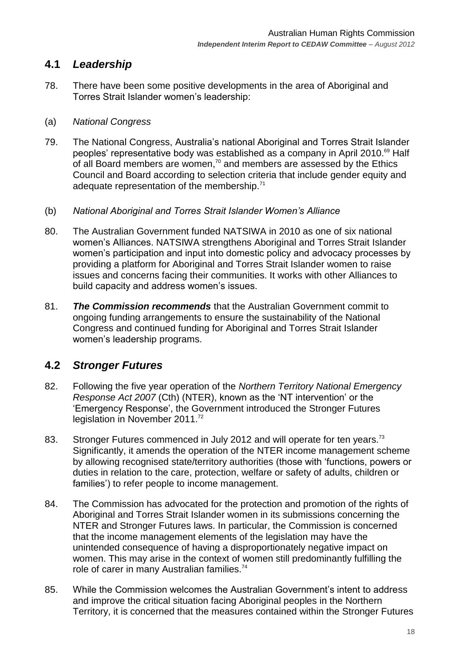## <span id="page-17-0"></span>**4.1** *Leadership*

78. There have been some positive developments in the area of Aboriginal and Torres Strait Islander women"s leadership:

### <span id="page-17-1"></span>(a) *National Congress*

- 79. The National Congress, Australia"s national Aboriginal and Torres Strait Islander peoples' representative body was established as a company in April 2010.<sup>69</sup> Half of all Board members are women, $\alpha$  and members are assessed by the Ethics Council and Board according to selection criteria that include gender equity and adequate representation of the membership.<sup>71</sup>
- <span id="page-17-2"></span>(b) *National Aboriginal and Torres Strait Islander Women's Alliance*
- 80. The Australian Government funded NATSIWA in 2010 as one of six national women"s Alliances. NATSIWA strengthens Aboriginal and Torres Strait Islander women"s participation and input into domestic policy and advocacy processes by providing a platform for Aboriginal and Torres Strait Islander women to raise issues and concerns facing their communities. It works with other Alliances to build capacity and address women"s issues.
- 81. *The Commission recommends* that the Australian Government commit to ongoing funding arrangements to ensure the sustainability of the National Congress and continued funding for Aboriginal and Torres Strait Islander women"s leadership programs.

## <span id="page-17-3"></span>**4.2** *Stronger Futures*

- 82. Following the five year operation of the *Northern Territory National Emergency Response Act 2007* (Cth) (NTER), known as the "NT intervention" or the "Emergency Response", the Government introduced the Stronger Futures legislation in November 2011.<sup>72</sup>
- 83. Stronger Futures commenced in July 2012 and will operate for ten years.<sup>73</sup> Significantly, it amends the operation of the NTER income management scheme by allowing recognised state/territory authorities (those with "functions, powers or duties in relation to the care, protection, welfare or safety of adults, children or families') to refer people to income management.
- 84. The Commission has advocated for the protection and promotion of the rights of Aboriginal and Torres Strait Islander women in its submissions concerning the NTER and Stronger Futures laws. In particular, the Commission is concerned that the income management elements of the legislation may have the unintended consequence of having a disproportionately negative impact on women. This may arise in the context of women still predominantly fulfilling the role of carer in many Australian families.<sup>74</sup>
- 85. While the Commission welcomes the Australian Government"s intent to address and improve the critical situation facing Aboriginal peoples in the Northern Territory, it is concerned that the measures contained within the Stronger Futures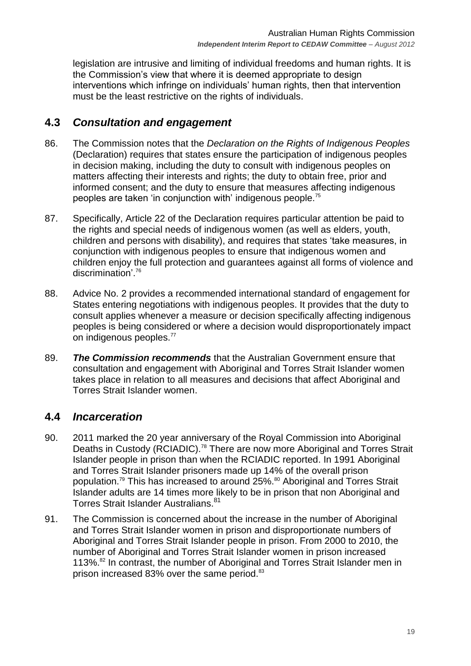legislation are intrusive and limiting of individual freedoms and human rights. It is the Commission"s view that where it is deemed appropriate to design interventions which infringe on individuals" human rights, then that intervention must be the least restrictive on the rights of individuals.

## <span id="page-18-0"></span>**4.3** *Consultation and engagement*

- 86. The Commission notes that the *Declaration on the Rights of Indigenous Peoples* (Declaration) requires that states ensure the participation of indigenous peoples in decision making, including the duty to consult with indigenous peoples on matters affecting their interests and rights; the duty to obtain free, prior and informed consent; and the duty to ensure that measures affecting indigenous peoples are taken 'in conjunction with' indigenous people.<sup>75</sup>
- 87. Specifically, Article 22 of the Declaration requires particular attention be paid to the rights and special needs of indigenous women (as well as elders, youth, children and persons with disability), and requires that states "take measures, in conjunction with indigenous peoples to ensure that indigenous women and children enjoy the full protection and guarantees against all forms of violence and discrimination'.<sup>76</sup>
- 88. Advice No. 2 provides a recommended international standard of engagement for States entering negotiations with indigenous peoples. It provides that the duty to consult applies whenever a measure or decision specifically affecting indigenous peoples is being considered or where a decision would disproportionately impact on indigenous peoples.<sup>77</sup>
- 89. *The Commission recommends* that the Australian Government ensure that consultation and engagement with Aboriginal and Torres Strait Islander women takes place in relation to all measures and decisions that affect Aboriginal and Torres Strait Islander women.

## <span id="page-18-1"></span>**4.4** *Incarceration*

- 90. 2011 marked the 20 year anniversary of the Royal Commission into Aboriginal Deaths in Custody (RCIADIC).<sup>78</sup> There are now more Aboriginal and Torres Strait Islander people in prison than when the RCIADIC reported. In 1991 Aboriginal and Torres Strait Islander prisoners made up 14% of the overall prison population.<sup>79</sup> This has increased to around 25%.<sup>80</sup> Aboriginal and Torres Strait Islander adults are 14 times more likely to be in prison that non Aboriginal and Torres Strait Islander Australians.<sup>81</sup>
- 91. The Commission is concerned about the increase in the number of Aboriginal and Torres Strait Islander women in prison and disproportionate numbers of Aboriginal and Torres Strait Islander people in prison. From 2000 to 2010, the number of Aboriginal and Torres Strait Islander women in prison increased 113%.<sup>82</sup> In contrast, the number of Aboriginal and Torres Strait Islander men in prison increased 83% over the same period.<sup>83</sup>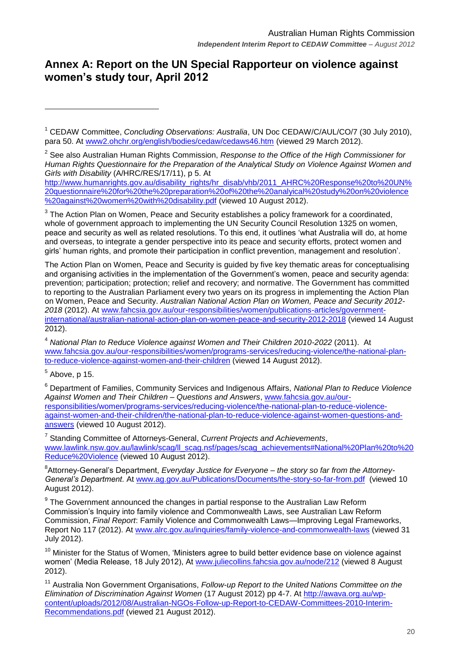# <span id="page-19-0"></span>**Annex A: Report on the UN Special Rapporteur on violence against women's study tour, April 2012**

2 See also Australian Human Rights Commission, *Response to the Office of the High Commissioner for Human Rights Questionnaire for the Preparation of the Analytical Study on Violence Against Women and Girls with Disability* (A/HRC/RES/17/11), p 5. At

[http://www.humanrights.gov.au/disability\\_rights/hr\\_disab/vhb/2011\\_AHRC%20Response%20to%20UN%](http://www.humanrights.gov.au/disability_rights/hr_disab/vhb/2011_AHRC%20Response%20to%20UN%20questionnaire%20for%20the%20preparation%20of%20the%20analyical%20study%20on%20violence%20against%20women%20with%20disability.pdf) [20questionnaire%20for%20the%20preparation%20of%20the%20analyical%20study%20on%20violence](http://www.humanrights.gov.au/disability_rights/hr_disab/vhb/2011_AHRC%20Response%20to%20UN%20questionnaire%20for%20the%20preparation%20of%20the%20analyical%20study%20on%20violence%20against%20women%20with%20disability.pdf) [%20against%20women%20with%20disability.pdf](http://www.humanrights.gov.au/disability_rights/hr_disab/vhb/2011_AHRC%20Response%20to%20UN%20questionnaire%20for%20the%20preparation%20of%20the%20analyical%20study%20on%20violence%20against%20women%20with%20disability.pdf) (viewed 10 August 2012).

 $3$  The Action Plan on Women, Peace and Security establishes a policy framework for a coordinated, whole of government approach to implementing the UN Security Council Resolution 1325 on women, peace and security as well as related resolutions. To this end, it outlines "what Australia will do, at home and overseas, to integrate a gender perspective into its peace and security efforts, protect women and girls" human rights, and promote their participation in conflict prevention, management and resolution".

The Action Plan on Women, Peace and Security is guided by five key thematic areas for conceptualising and organising activities in the implementation of the Government"s women, peace and security agenda: prevention; participation; protection; relief and recovery; and normative. The Government has committed to reporting to the Australian Parliament every two years on its progress in implementing the Action Plan on Women, Peace and Security. *Australian National Action Plan on Women, Peace and Security 2012- 2018* (2012). At [www.fahcsia.gov.au/our-responsibilities/women/publications-articles/government](http://www.fahcsia.gov.au/our-responsibilities/women/publications-articles/government-international/australian-national-action-plan-on-women-peace-and-security-2012-2018)[international/australian-national-action-plan-on-women-peace-and-security-2012-2018](http://www.fahcsia.gov.au/our-responsibilities/women/publications-articles/government-international/australian-national-action-plan-on-women-peace-and-security-2012-2018) (viewed 14 August 2012).

<sup>4</sup> *National Plan to Reduce Violence against Women and Their Children 2010-2022* (2011). At [www.fahcsia.gov.au/our-responsibilities/women/programs-services/reducing-violence/the-national-plan](http://www.fahcsia.gov.au/our-responsibilities/women/programs-services/reducing-violence/the-national-plan-to-reduce-violence-against-women-and-their-children)[to-reduce-violence-against-women-and-their-children](http://www.fahcsia.gov.au/our-responsibilities/women/programs-services/reducing-violence/the-national-plan-to-reduce-violence-against-women-and-their-children) (viewed 14 August 2012).

 $<sup>5</sup>$  Above, p 15.</sup>

1

<sup>6</sup> Department of Families, Community Services and Indigenous Affairs, *National Plan to Reduce Violence Against Women and Their Children – Questions and Answers*, [www.fahcsia.gov.au/our](http://www.fahcsia.gov.au/our-responsibilities/women/programs-services/reducing-violence/the-national-plan-to-reduce-violence-against-women-and-their-children/the-national-plan-to-reduce-violence-against-women-questions-and-answers)[responsibilities/women/programs-services/reducing-violence/the-national-plan-to-reduce-violence](http://www.fahcsia.gov.au/our-responsibilities/women/programs-services/reducing-violence/the-national-plan-to-reduce-violence-against-women-and-their-children/the-national-plan-to-reduce-violence-against-women-questions-and-answers)[against-women-and-their-children/the-national-plan-to-reduce-violence-against-women-questions-and](http://www.fahcsia.gov.au/our-responsibilities/women/programs-services/reducing-violence/the-national-plan-to-reduce-violence-against-women-and-their-children/the-national-plan-to-reduce-violence-against-women-questions-and-answers)[answers](http://www.fahcsia.gov.au/our-responsibilities/women/programs-services/reducing-violence/the-national-plan-to-reduce-violence-against-women-and-their-children/the-national-plan-to-reduce-violence-against-women-questions-and-answers) (viewed 10 August 2012).

7 Standing Committee of Attorneys-General, *Current Projects and Achievements*, [www.lawlink.nsw.gov.au/lawlink/scag/ll\\_scag.nsf/pages/scag\\_achievements#National%20Plan%20to%20](http://www.lawlink.nsw.gov.au/lawlink/scag/ll_scag.nsf/pages/scag_achievements#National%20Plan%20to%20Reduce%20Violence) [Reduce%20Violence](http://www.lawlink.nsw.gov.au/lawlink/scag/ll_scag.nsf/pages/scag_achievements#National%20Plan%20to%20Reduce%20Violence) (viewed 10 August 2012).

8 Attorney-General"s Department, *Everyday Justice for Everyone – the story so far from the Attorney-General's Department*. At [www.ag.gov.au/Publications/Documents/the-story-so-far-from.pdf](http://www.ag.gov.au/Publications/Documents/the-story-so-far-from.pdf) (viewed 10 August 2012).

 $9$  The Government announced the changes in partial response to the Australian Law Reform Commission"s Inquiry into family violence and Commonwealth Laws, see Australian Law Reform Commission, *Final Report*: Family Violence and Commonwealth Laws—Improving Legal Frameworks, Report No 117 (2012). At [www.alrc.gov.au/inquiries/family-violence-and-commonwealth-laws](http://www.alrc.gov.au/inquiries/family-violence-and-commonwealth-laws) (viewed 31 July 2012).

 $10$  Minister for the Status of Women, 'Ministers agree to build better evidence base on violence against women" (Media Release, 18 July 2012), At [www.juliecollins.fahcsia.gov.au/node/212](http://www.juliecollins.fahcsia.gov.au/node/212) (viewed 8 August 2012).

<sup>11</sup> Australia Non Government Organisations, *Follow-up Report to the United Nations Committee on the Elimination of Discrimination Against Women* (17 August 2012) pp 4-7. At [http://awava.org.au/wp](http://awava.org.au/wp-content/uploads/2012/08/Australian-NGOs-Follow-up-Report-to-CEDAW-Committees-2010-Interim-Recommendations.pdf)[content/uploads/2012/08/Australian-NGOs-Follow-up-Report-to-CEDAW-Committees-2010-Interim-](http://awava.org.au/wp-content/uploads/2012/08/Australian-NGOs-Follow-up-Report-to-CEDAW-Committees-2010-Interim-Recommendations.pdf)[Recommendations.pdf](http://awava.org.au/wp-content/uploads/2012/08/Australian-NGOs-Follow-up-Report-to-CEDAW-Committees-2010-Interim-Recommendations.pdf) (viewed 21 August 2012).

<sup>1</sup> CEDAW Committee, *Concluding Observations: Australia*, UN Doc CEDAW/C/AUL/CO/7 (30 July 2010), para 50. At [www2.ohchr.org/english/bodies/cedaw/cedaws46.htm](http://www2.ohchr.org/english/bodies/cedaw/cedaws46.htm) (viewed 29 March 2012).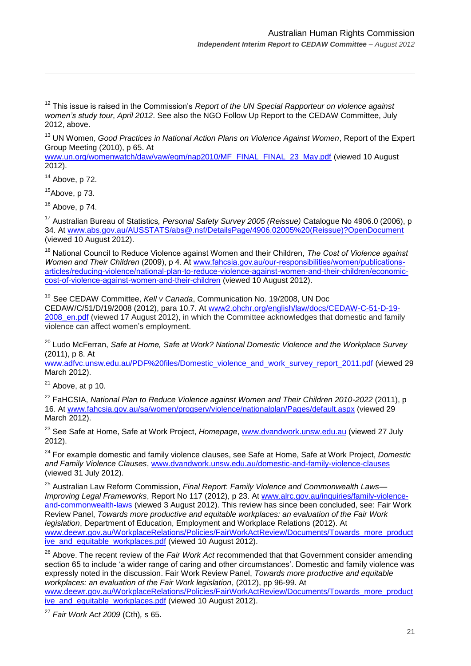<sup>12</sup> This issue is raised in the Commission's *Report of the UN Special Rapporteur on violence against women's study tour*, *April 2012*. See also the NGO Follow Up Report to the CEDAW Committee, July 2012, above.

<sup>13</sup> UN Women, *Good Practices in National Action Plans on Violence Against Women*, Report of the Expert Group Meeting (2010), p 65. At

[www.un.org/womenwatch/daw/vaw/egm/nap2010/MF\\_FINAL\\_FINAL\\_23\\_May.pdf](http://www.un.org/womenwatch/daw/vaw/egm/nap2010/MF_FINAL_FINAL_23_May.pdf) (viewed 10 August 2012).

<sup>14</sup> Above, p 72.

1

 $15A$ bove, p 73.

 $16$  Above, p 74.

<sup>17</sup> Australian Bureau of Statistics*, Personal Safety Survey 2005 (Reissue)* Catalogue No 4906.0 (2006), p 34. At [www.abs.gov.au/AUSSTATS/abs@.nsf/DetailsPage/4906.02005%20\(Reissue\)?OpenDocument](http://www.abs.gov.au/AUSSTATS/abs@.nsf/DetailsPage/4906.02005%20(Reissue)?OpenDocument) (viewed 10 August 2012).

<sup>18</sup> National Council to Reduce Violence against Women and their Children, *The Cost of Violence against Women and Their Children* (2009), p 4. At [www.fahcsia.gov.au/our-responsibilities/women/publications](http://www.fahcsia.gov.au/our-responsibilities/women/publications-articles/reducing-violence/national-plan-to-reduce-violence-against-women-and-their-children/economic-cost-of-violence-against-women-and-their-children)[articles/reducing-violence/national-plan-to-reduce-violence-against-women-and-their-children/economic](http://www.fahcsia.gov.au/our-responsibilities/women/publications-articles/reducing-violence/national-plan-to-reduce-violence-against-women-and-their-children/economic-cost-of-violence-against-women-and-their-children)[cost-of-violence-against-women-and-their-children](http://www.fahcsia.gov.au/our-responsibilities/women/publications-articles/reducing-violence/national-plan-to-reduce-violence-against-women-and-their-children/economic-cost-of-violence-against-women-and-their-children) (viewed 10 August 2012).

<sup>19</sup> See CEDAW Committee, *Kell v Canada*, Communication No. 19/2008, UN Doc CEDAW/C/51/D/19/2008 (2012), para 10.7. At [www2.ohchr.org/english/law/docs/CEDAW-C-51-D-19-](file://fileshare/users/visitor1/Documents/CEDAW%20Committee,%20Kell%20v%20Canada,%20Communication%20No.%2019/2008,%20UN%20Doc%20CEDAW/C/51/D/19/2008%20(2012),%20para%2011(b)(i).%20At%20www2.ohchr.org/english/law/docs/CEDAW-C-51-D-19-2008_en.pdf) 2008 en.pdf (viewed 17 August 2012), in which the Committee acknowledges that domestic and family violence can affect women"s employment.

<sup>20</sup> Ludo McFerran, *Safe at Home, Safe at Work? National Domestic Violence and the Workplace Survey*  (2011), p 8. At

[www.adfvc.unsw.edu.au/PDF%20files/Domestic\\_violence\\_and\\_work\\_survey\\_report\\_2011.pdf](http://www.adfvc.unsw.edu.au/PDF%20files/Domestic_violence_and_work_survey_report_2011.pdf) (viewed 29 March 2012).

 $21$  Above, at p 10.

<sup>22</sup> FaHCSIA, *National Plan to Reduce Violence against Women and Their Children 2010-2022* (2011), p 16. At [www.fahcsia.gov.au/sa/women/progserv/violence/nationalplan/Pages/default.aspx](http://www.fahcsia.gov.au/sa/women/progserv/violence/nationalplan/Pages/default.aspx) (viewed 29 March 2012).

<sup>23</sup> See Safe at Home, Safe at Work Project, *Homepage*, [www.dvandwork.unsw.edu.au](http://www.dvandwork.unsw.edu.au/) (viewed 27 July 2012).

<sup>24</sup> For example domestic and family violence clauses, see Safe at Home, Safe at Work Project, *Domestic and Family Violence Clauses*, [www.dvandwork.unsw.edu.au/domestic-and-family-violence-clauses](http://www.dvandwork.unsw.edu.au/domestic-and-family-violence-clauses) (viewed 31 July 2012).

<sup>25</sup> Australian Law Reform Commission, *Final Report*: *Family Violence and Commonwealth Laws— Improving Legal Frameworks*, Report No 117 (2012), p 23. At [www.alrc.gov.au/inquiries/family-violence](http://www.alrc.gov.au/inquiries/family-violence-and-commonwealth-laws)[and-commonwealth-laws](http://www.alrc.gov.au/inquiries/family-violence-and-commonwealth-laws) (viewed 3 August 2012). This review has since been concluded, see: Fair Work Review Panel, *Towards more productive and equitable workplaces: an evaluation of the Fair Work legislation*, Department of Education, Employment and Workplace Relations (2012). At [www.deewr.gov.au/WorkplaceRelations/Policies/FairWorkActReview/Documents/Towards\\_more\\_product](http://www.deewr.gov.au/WorkplaceRelations/Policies/FairWorkActReview/Documents/Towards_more_productive_and_equitable_workplaces.pdf) [ive\\_and\\_equitable\\_workplaces.pdf](http://www.deewr.gov.au/WorkplaceRelations/Policies/FairWorkActReview/Documents/Towards_more_productive_and_equitable_workplaces.pdf) (viewed 10 August 2012).

<sup>26</sup> Above. The recent review of the *Fair Work Act* recommended that that Government consider amending section 65 to include 'a wider range of caring and other circumstances'. Domestic and family violence was expressly noted in the discussion. Fair Work Review Panel, *Towards more productive and equitable workplaces: an evaluation of the Fair Work legislation*, (2012), pp 96-99. At

[www.deewr.gov.au/WorkplaceRelations/Policies/FairWorkActReview/Documents/Towards\\_more\\_product](http://www.deewr.gov.au/WorkplaceRelations/Policies/FairWorkActReview/Documents/Towards_more_productive_and_equitable_workplaces.pdf) [ive\\_and\\_equitable\\_workplaces.pdf](http://www.deewr.gov.au/WorkplaceRelations/Policies/FairWorkActReview/Documents/Towards_more_productive_and_equitable_workplaces.pdf) (viewed 10 August 2012).

<sup>27</sup> *Fair Work Act 2009* (Cth)*,* s 65.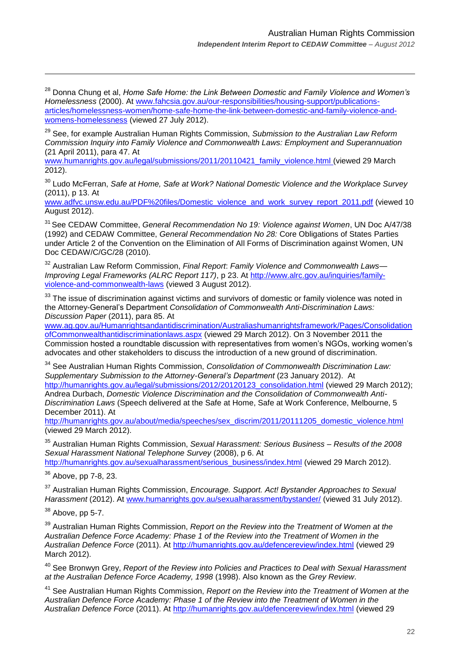<sup>28</sup> Donna Chung et al, *Home Safe Home: the Link Between Domestic and Family Violence and Women's Homelessness* (2000). At [www.fahcsia.gov.au/our-responsibilities/housing-support/publications](http://www.fahcsia.gov.au/our-responsibilities/housing-support/publications-articles/homelessness-women/home-safe-home-the-link-between-domestic-and-family-violence-and-womens-homelessness)[articles/homelessness-women/home-safe-home-the-link-between-domestic-and-family-violence-and](http://www.fahcsia.gov.au/our-responsibilities/housing-support/publications-articles/homelessness-women/home-safe-home-the-link-between-domestic-and-family-violence-and-womens-homelessness)[womens-homelessness](http://www.fahcsia.gov.au/our-responsibilities/housing-support/publications-articles/homelessness-women/home-safe-home-the-link-between-domestic-and-family-violence-and-womens-homelessness) (viewed 27 July 2012).

<sup>29</sup> See, for example Australian Human Rights Commission, *Submission to the Australian Law Reform Commission Inquiry into Family Violence and Commonwealth Laws: Employment and Superannuation* (21 April 2011), para 47. At

[www.humanrights.gov.au/legal/submissions/2011/20110421\\_family\\_violence.html](http://www.humanrights.gov.au/legal/submissions/2011/20110421_family_violence.html) (viewed 29 March 2012).

<sup>30</sup> Ludo McFerran, *Safe at Home, Safe at Work? National Domestic Violence and the Workplace Survey*  (2011), p 13. At

[www.adfvc.unsw.edu.au/PDF%20files/Domestic\\_violence\\_and\\_work\\_survey\\_report\\_2011.pdf](http://www.adfvc.unsw.edu.au/PDF%20files/Domestic_violence_and_work_survey_report_2011.pdf) (viewed 10 August 2012).

<sup>31</sup> See CEDAW Committee, *General Recommendation No 19: Violence against Women*, UN Doc A/47/38 (1992) and CEDAW Committee, *General Recommendation No 28:* Core Obligations of States Parties under Article 2 of the Convention on the Elimination of All Forms of Discrimination against Women, UN Doc CEDAW/C/GC/28 (2010).

<sup>32</sup> Australian Law Reform Commission, *Final Report*: *Family Violence and Commonwealth Laws— Improving Legal Frameworks (ALRC Report 117)*, p 23. At [http://www.alrc.gov.au/inquiries/family](http://www.alrc.gov.au/inquiries/family-violence-and-commonwealth-laws)[violence-and-commonwealth-laws](http://www.alrc.gov.au/inquiries/family-violence-and-commonwealth-laws) (viewed 3 August 2012).

<sup>33</sup> The issue of discrimination against victims and survivors of domestic or family violence was noted in the Attorney-General"s Department *Consolidation of Commonwealth Anti-Discrimination Laws: Discussion Paper* (2011), para 85. At

[www.ag.gov.au/Humanrightsandantidiscrimination/Australiashumanrightsframework/Pages/Consolidation](http://www.ag.gov.au/Humanrightsandantidiscrimination/Australiashumanrightsframework/Pages/ConsolidationofCommonwealthantidiscriminationlaws.aspx) [ofCommonwealthantidiscriminationlaws.aspx](http://www.ag.gov.au/Humanrightsandantidiscrimination/Australiashumanrightsframework/Pages/ConsolidationofCommonwealthantidiscriminationlaws.aspx) (viewed 29 March 2012). On 3 November 2011 the Commission hosted a roundtable discussion with representatives from women"s NGOs, working women"s advocates and other stakeholders to discuss the introduction of a new ground of discrimination.

<sup>34</sup> See Australian Human Rights Commission, *Consolidation of Commonwealth Discrimination Law: Supplementary Submission to the Attorney-General's Department* (23 January 2012). At [http://humanrights.gov.au/legal/submissions/2012/20120123\\_consolidation.html](http://humanrights.gov.au/legal/submissions/2012/20120123_consolidation.html) (viewed 29 March 2012); Andrea Durbach, *Domestic Violence Discrimination and the Consolidation of Commonwealth Anti-Discrimination Laws* (Speech delivered at the Safe at Home, Safe at Work Conference, Melbourne, 5 December 2011). At

[http://humanrights.gov.au/about/media/speeches/sex\\_discrim/2011/20111205\\_domestic\\_violence.html](http://humanrights.gov.au/about/media/speeches/sex_discrim/2011/20111205_domestic_violence.html) (viewed 29 March 2012).

<sup>35</sup> Australian Human Rights Commission, *Sexual Harassment: Serious Business – Results of the 2008 Sexual Harassment National Telephone Survey* (2008), p 6. At

[http://humanrights.gov.au/sexualharassment/serious\\_business/index.html](http://humanrights.gov.au/sexualharassment/serious_business/index.html) (viewed 29 March 2012).

<sup>36</sup> Above, pp 7-8, 23.

1

<sup>37</sup> Australian Human Rights Commission, *Encourage. Support. Act! Bystander Approaches to Sexual Harassment* (2012). At [www.humanrights.gov.au/sexualharassment/bystander/](http://www.humanrights.gov.au/sexualharassment/bystander/) (viewed 31 July 2012).

 $38$  Above, pp 5-7.

<sup>39</sup> Australian Human Rights Commission, *Report on the Review into the Treatment of Women at the Australian Defence Force Academy: Phase 1 of the Review into the Treatment of Women in the Australian Defence Force* (2011). At<http://humanrights.gov.au/defencereview/index.html> (viewed 29 March 2012).

<sup>40</sup> See Bronwyn Grey, *Report of the Review into Policies and Practices to Deal with Sexual Harassment at the Australian Defence Force Academy, 1998* (1998). Also known as the *Grey Review*.

<sup>41</sup> See Australian Human Rights Commission, *Report on the Review into the Treatment of Women at the Australian Defence Force Academy: Phase 1 of the Review into the Treatment of Women in the Australian Defence Force* (2011). At<http://humanrights.gov.au/defencereview/index.html> (viewed 29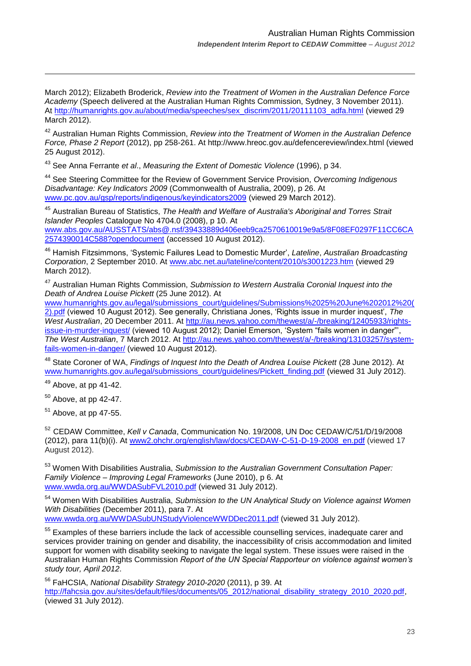March 2012); Elizabeth Broderick, *Review into the Treatment of Women in the Australian Defence Force Academy* (Speech delivered at the Australian Human Rights Commission, Sydney, 3 November 2011). At [http://humanrights.gov.au/about/media/speeches/sex\\_discrim/2011/20111103\\_adfa.html](http://humanrights.gov.au/about/media/speeches/sex_discrim/2011/20111103_adfa.html) (viewed 29 March 2012).

<sup>42</sup> Australian Human Rights Commission, *Review into the Treatment of Women in the Australian Defence Force, Phase 2 Report* (2012), pp 258-261. At http://www.hreoc.gov.au/defencereview/index.html (viewed 25 August 2012).

<sup>43</sup> See Anna Ferrante *et al*., *Measuring the Extent of Domestic Violence* (1996), p 34.

<sup>44</sup> See Steering Committee for the Review of Government Service Provision, *Overcoming Indigenous Disadvantage: Key Indicators 2009* (Commonwealth of Australia, 2009), p 26. At [www.pc.gov.au/gsp/reports/indigenous/keyindicators2009](http://www.pc.gov.au/gsp/reports/indigenous/keyindicators2009) (viewed 29 March 2012).

<sup>45</sup> Australian Bureau of Statistics, *The Health and Welfare of Australia's Aboriginal and Torres Strait Islander Peoples* Catalogue No 4704.0 (2008), p 10. At [www.abs.gov.au/AUSSTATS/abs@.nsf/39433889d406eeb9ca2570610019e9a5/8F08EF0297F11CC6CA](http://www.abs.gov.au/AUSSTATS/abs@.nsf/39433889d406eeb9ca2570610019e9a5/8F08EF0297F11CC6CA2574390014C588?opendocument) [2574390014C588?opendocument](http://www.abs.gov.au/AUSSTATS/abs@.nsf/39433889d406eeb9ca2570610019e9a5/8F08EF0297F11CC6CA2574390014C588?opendocument) (accessed 10 August 2012).

<sup>46</sup> Hamish Fitzsimmons, "Systemic Failures Lead to Domestic Murder", *Lateline*, *Australian Broadcasting Corporation*, 2 September 2010. At [www.abc.net.au/lateline/content/2010/s3001223.htm](http://www.abc.net.au/lateline/content/2010/s3001223.htm) (viewed 29 March 2012).

<sup>47</sup> Australian Human Rights Commission, *Submission to Western Australia Coronial Inquest into the Death of Andrea Louise Pickett* (25 June 2012). At

[www.humanrights.gov.au/legal/submissions\\_court/guidelines/Submissions%2025%20June%202012%20\(](http://www.humanrights.gov.au/legal/submissions_court/guidelines/Submissions%2025%20June%202012%20(2).pdf) [2\).pdf](http://www.humanrights.gov.au/legal/submissions_court/guidelines/Submissions%2025%20June%202012%20(2).pdf) (viewed 10 August 2012). See generally, Christiana Jones, "Rights issue in murder inquest", *The West Australian*, 20 December 2011. At [http://au.news.yahoo.com/thewest/a/-/breaking/12405933/rights](http://au.news.yahoo.com/thewest/a/-/breaking/12405933/rights-issue-in-murder-inquest/)[issue-in-murder-inquest/](http://au.news.yahoo.com/thewest/a/-/breaking/12405933/rights-issue-in-murder-inquest/) (viewed 10 August 2012); Daniel Emerson, "System "fails women in danger"", *The West Australian*, 7 March 2012. At [http://au.news.yahoo.com/thewest/a/-/breaking/13103257/system](http://au.news.yahoo.com/thewest/a/-/breaking/13103257/system-fails-women-in-danger/)[fails-women-in-danger/](http://au.news.yahoo.com/thewest/a/-/breaking/13103257/system-fails-women-in-danger/) (viewed 10 August 2012).

<sup>48</sup> State Coroner of WA, *Findings of Inquest Into the Death of Andrea Louise Pickett* (28 June 2012). At [www.humanrights.gov.au/legal/submissions\\_court/guidelines/Pickett\\_finding.pdf](http://www.humanrights.gov.au/legal/submissions_court/guidelines/Pickett_finding.pdf) (viewed 31 July 2012).

 $49$  Above, at pp 41-42.

1

<sup>50</sup> Above, at pp 42-47.

 $51$  Above, at pp 47-55.

<sup>52</sup> CEDAW Committee, *Kell v Canada*, Communication No. 19/2008, UN Doc CEDAW/C/51/D/19/2008 (2012), para 11(b)(i). At [www2.ohchr.org/english/law/docs/CEDAW-C-51-D-19-2008\\_en.pdf](file://fileshare/groups/spt/External%20Projects/Strategic%20Advocacy%20SDT%2012.13/12.13%20International%20SDT/CEDAW/CEDAW%20Committee,%20Kell%20v%20Canada,%20Communication%20No.%2019/2008,%20UN%20Doc%20CEDAW/C/51/D/19/2008%20(2012),%20para%2011(b)(i).%20At%20www2.ohchr.org/english/law/docs/CEDAW-C-51-D-19-2008_en.pdf) (viewed 17 August 2012).

<sup>53</sup> Women With Disabilities Australia, *Submission to the Australian Government Consultation Paper: Family Violence – Improving Legal Frameworks* (June 2010), p 6. At [www.wwda.org.au/WWDASubFVL2010.pdf](http://www.wwda.org.au/WWDASubFVL2010.pdf) (viewed 31 July 2012).

<sup>54</sup> Women With Disabilities Australia, *Submission to the UN Analytical Study on Violence against Women With Disabilities* (December 2011), para 7. At

[www.wwda.org.au/WWDASubUNStudyViolenceWWDDec2011.pdf](http://www.wwda.org.au/WWDASubUNStudyViolenceWWDDec2011.pdf) (viewed 31 July 2012).

<sup>55</sup> Examples of these barriers include the lack of accessible counselling services, inadequate carer and services provider training on gender and disability, the inaccessibility of crisis accommodation and limited support for women with disability seeking to navigate the legal system. These issues were raised in the Australian Human Rights Commission *Report of the UN Special Rapporteur on violence against women's study tour, April 2012*.

<sup>56</sup> FaHCSIA, *National Disability Strategy 2010-2020* (2011), p 39. At [http://fahcsia.gov.au/sites/default/files/documents/05\\_2012/national\\_disability\\_strategy\\_2010\\_2020.pdf,](http://fahcsia.gov.au/sites/default/files/documents/05_2012/national_disability_strategy_2010_2020.pdf) (viewed 31 July 2012).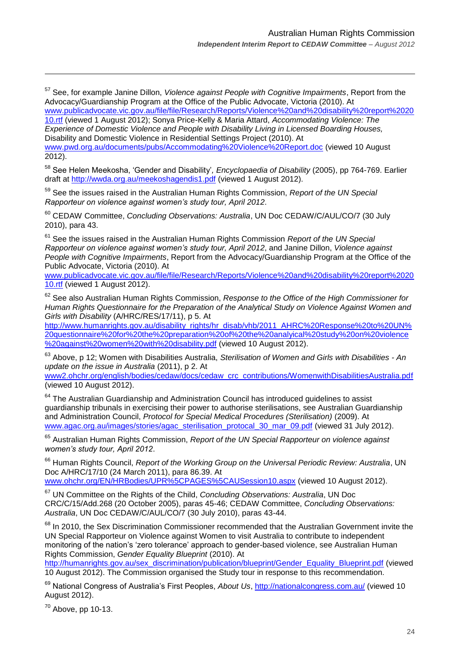<sup>57</sup> See, for example Janine Dillon, *Violence against People with Cognitive Impairments*, Report from the Advocacy/Guardianship Program at the Office of the Public Advocate, Victoria (2010). At [www.publicadvocate.vic.gov.au/file/file/Research/Reports/Violence%20and%20disability%20report%2020](http://www.publicadvocate.vic.gov.au/file/file/Research/Reports/Violence%20and%20disability%20report%202010.rtf)

[10.rtf](http://www.publicadvocate.vic.gov.au/file/file/Research/Reports/Violence%20and%20disability%20report%202010.rtf) (viewed 1 August 2012); Sonya Price-Kelly & Maria Attard, *Accommodating Violence: The Experience of Domestic Violence and People with Disability Living in Licensed Boarding Houses,*  Disability and Domestic Violence in Residential Settings Project (2010). At [www.pwd.org.au/documents/pubs/Accommodating%20Violence%20Report.doc](http://www.pwd.org.au/documents/pubs/Accommodating%20Violence%20Report.doc) (viewed 10 August

2012).

<sup>58</sup> See Helen Meekosha, "Gender and Disability"*, Encyclopaedia of Disability* (2005), pp 764-769. Earlier draft at<http://wwda.org.au/meekoshagendis1.pdf> (viewed 1 August 2012).

<sup>59</sup> See the issues raised in the Australian Human Rights Commission, *Report of the UN Special Rapporteur on violence against women's study tour, April 2012*.

<sup>60</sup> CEDAW Committee, *Concluding Observations: Australia*, UN Doc CEDAW/C/AUL/CO/7 (30 July 2010), para 43.

<sup>61</sup> See the issues raised in the Australian Human Rights Commission *Report of the UN Special Rapporteur on violence against women's study tour, April 2012*, and Janine Dillon, *Violence against People with Cognitive Impairments*, Report from the Advocacy/Guardianship Program at the Office of the Public Advocate, Victoria (2010). At

[www.publicadvocate.vic.gov.au/file/file/Research/Reports/Violence%20and%20disability%20report%2020](http://www.publicadvocate.vic.gov.au/file/file/Research/Reports/Violence%20and%20disability%20report%202010.rtf) [10.rtf](http://www.publicadvocate.vic.gov.au/file/file/Research/Reports/Violence%20and%20disability%20report%202010.rtf) (viewed 1 August 2012).

<sup>62</sup> See also Australian Human Rights Commission, *Response to the Office of the High Commissioner for Human Rights Questionnaire for the Preparation of the Analytical Study on Violence Against Women and Girls with Disability* (A/HRC/RES/17/11), p 5. At

[http://www.humanrights.gov.au/disability\\_rights/hr\\_disab/vhb/2011\\_AHRC%20Response%20to%20UN%](http://www.humanrights.gov.au/disability_rights/hr_disab/vhb/2011_AHRC%20Response%20to%20UN%20questionnaire%20for%20the%20preparation%20of%20the%20analyical%20study%20on%20violence%20against%20women%20with%20disability.pdf) [20questionnaire%20for%20the%20preparation%20of%20the%20analyical%20study%20on%20violence](http://www.humanrights.gov.au/disability_rights/hr_disab/vhb/2011_AHRC%20Response%20to%20UN%20questionnaire%20for%20the%20preparation%20of%20the%20analyical%20study%20on%20violence%20against%20women%20with%20disability.pdf) [%20against%20women%20with%20disability.pdf](http://www.humanrights.gov.au/disability_rights/hr_disab/vhb/2011_AHRC%20Response%20to%20UN%20questionnaire%20for%20the%20preparation%20of%20the%20analyical%20study%20on%20violence%20against%20women%20with%20disability.pdf) (viewed 10 August 2012).

<sup>63</sup> Above, p 12; Women with Disabilities Australia, *Sterilisation of Women and Girls with Disabilities - An update on the issue in Australia* (2011), p 2. At

[www2.ohchr.org/english/bodies/cedaw/docs/cedaw\\_crc\\_contributions/WomenwithDisabilitiesAustralia.pdf](http://www2.ohchr.org/english/bodies/cedaw/docs/cedaw_crc_contributions/WomenwithDisabilitiesAustralia.pdf) (viewed 10 August 2012).

<sup>64</sup> The Australian Guardianship and Administration Council has introduced guidelines to assist guardianship tribunals in exercising their power to authorise sterilisations, see Australian Guardianship and Administration Council, *Protocol for Special Medical Procedures (Sterilisation)* (2009). At [www.agac.org.au/images/stories/agac\\_sterilisation\\_protocal\\_30\\_mar\\_09.pdf](http://www.agac.org.au/images/stories/agac_sterilisation_protocal_30_mar_09.pdf) (viewed 31 July 2012).

<sup>65</sup> Australian Human Rights Commission, *Report of the UN Special Rapporteur on violence against women's study tour, April 2012*.

<sup>66</sup> Human Rights Council, *Report of the Working Group on the Universal Periodic Review: Australia*, UN Doc A/HRC/17/10 (24 March 2011), para 86.39. At [www.ohchr.org/EN/HRBodies/UPR%5CPAGES%5CAUSession10.aspx](http://www.ohchr.org/EN/HRBodies/UPR%5CPAGES%5CAUSession10.aspx) (viewed 10 August 2012).

<sup>67</sup> UN Committee on the Rights of the Child, *Concluding Observations: Australia*, UN Doc CRC/C/15/Add.268 (20 October 2005), paras 45-46; CEDAW Committee, *Concluding Observations: Australia*, UN Doc CEDAW/C/AUL/CO/7 (30 July 2010), paras 43-44.

<sup>68</sup> In 2010, the Sex Discrimination Commissioner recommended that the Australian Government invite the UN Special Rapporteur on Violence against Women to visit Australia to contribute to independent monitoring of the nation"s "zero tolerance" approach to gender-based violence, see Australian Human Rights Commission, *Gender Equality Blueprint* (2010). At

[http://humanrights.gov.au/sex\\_discrimination/publication/blueprint/Gender\\_Equality\\_Blueprint.pdf](http://humanrights.gov.au/sex_discrimination/publication/blueprint/Gender_Equality_Blueprint.pdf) (viewed 10 August 2012). The Commission organised the Study tour in response to this recommendation.

<sup>69</sup> National Congress of Australia's First Peoples, About Us,<http://nationalcongress.com.au/> (viewed 10 August 2012).

<sup>70</sup> Above, pp 10-13.

1